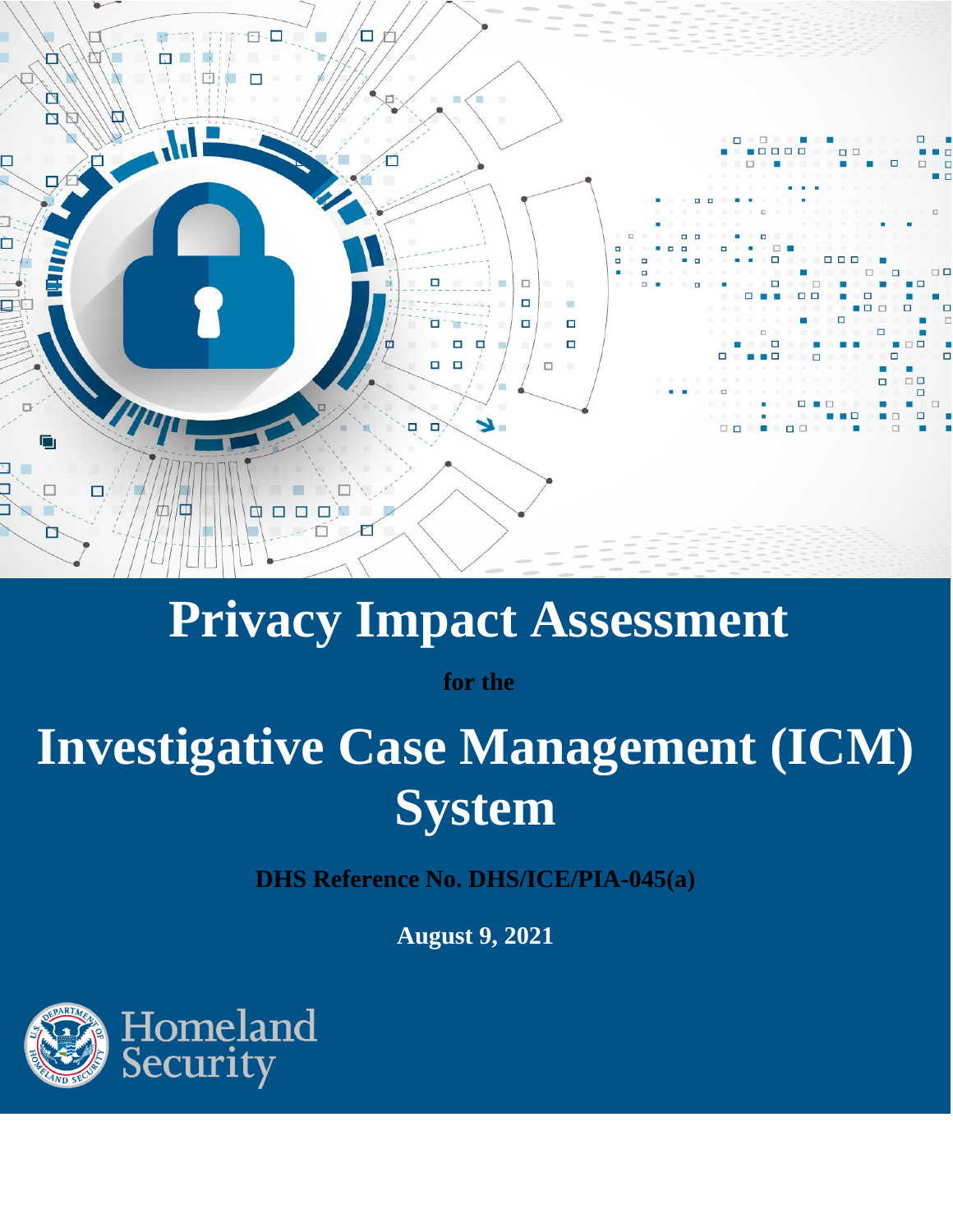

## **Privacy Impact Assessment**

**for the**

# **Investigative Case Management (ICM) System**

**DHS Reference No. DHS/ICE/PIA-045(a)**

**August 9, 2021**

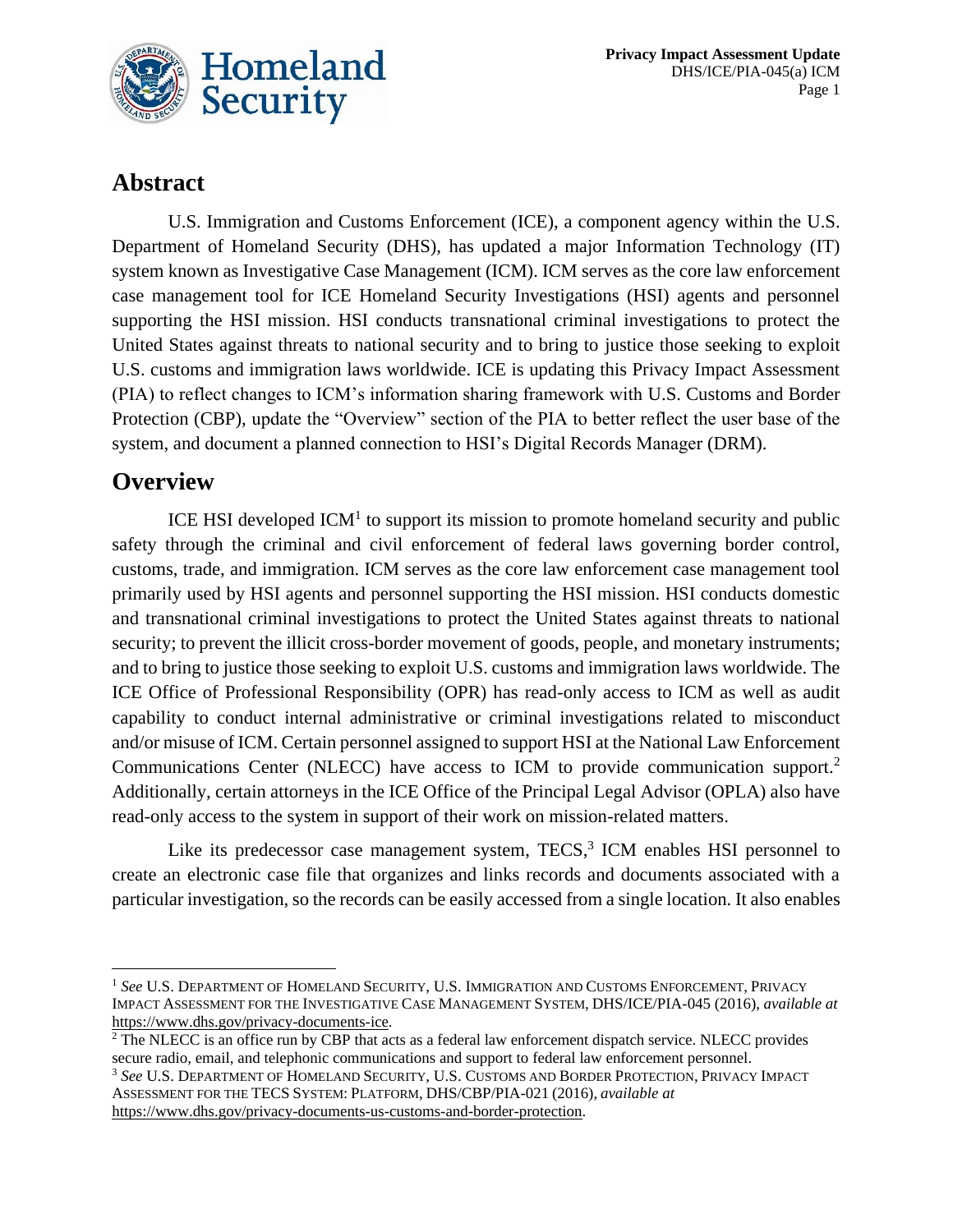

## **Abstract**

U.S. Immigration and Customs Enforcement (ICE), a component agency within the U.S. Department of Homeland Security (DHS), has updated a major Information Technology (IT) system known as Investigative Case Management (ICM). ICM serves as the core law enforcement case management tool for ICE Homeland Security Investigations (HSI) agents and personnel supporting the HSI mission. HSI conducts transnational criminal investigations to protect the United States against threats to national security and to bring to justice those seeking to exploit U.S. customs and immigration laws worldwide. ICE is updating this Privacy Impact Assessment (PIA) to reflect changes to ICM's information sharing framework with U.S. Customs and Border Protection (CBP), update the "Overview" section of the PIA to better reflect the user base of the system, and document a planned connection to HSI's Digital Records Manager (DRM).

### **Overview**

ICE HSI developed  $ICM<sup>1</sup>$  to support its mission to promote homeland security and public safety through the criminal and civil enforcement of federal laws governing border control, customs, trade, and immigration. ICM serves as the core law enforcement case management tool primarily used by HSI agents and personnel supporting the HSI mission. HSI conducts domestic and transnational criminal investigations to protect the United States against threats to national security; to prevent the illicit cross-border movement of goods, people, and monetary instruments; and to bring to justice those seeking to exploit U.S. customs and immigration laws worldwide. The ICE Office of Professional Responsibility (OPR) has read-only access to ICM as well as audit capability to conduct internal administrative or criminal investigations related to misconduct and/or misuse of ICM. Certain personnel assigned to support HSI at the National Law Enforcement Communications Center (NLECC) have access to ICM to provide communication support.<sup>2</sup> Additionally, certain attorneys in the ICE Office of the Principal Legal Advisor (OPLA) also have read-only access to the system in support of their work on mission-related matters.

Like its predecessor case management system,  $TECS$ ,  $3$  ICM enables HSI personnel to create an electronic case file that organizes and links records and documents associated with a particular investigation, so the records can be easily accessed from a single location. It also enables

<sup>1</sup> *See* U.S. DEPARTMENT OF HOMELAND SECURITY, U.S. IMMIGRATION AND CUSTOMS ENFORCEMENT, PRIVACY IMPACT ASSESSMENT FOR THE INVESTIGATIVE CASE MANAGEMENT SYSTEM, DHS/ICE/PIA-045 (2016), *available at* [https://www.dhs.gov/privacy-documents-ice.](https://www.dhs.gov/privacy-documents-ice)

<sup>&</sup>lt;sup>2</sup> The NLECC is an office run by CBP that acts as a federal law enforcement dispatch service. NLECC provides secure radio, email, and telephonic communications and support to federal law enforcement personnel.

<sup>3</sup> *See* U.S. DEPARTMENT OF HOMELAND SECURITY, U.S. CUSTOMS AND BORDER PROTECTION, PRIVACY IMPACT ASSESSMENT FOR THE TECS SYSTEM: PLATFORM, DHS/CBP/PIA-021 (2016), *available at*  [https://www.dhs.gov/privacy-documents-us-customs-and-border-protection.](https://www.dhs.gov/privacy-documents-us-customs-and-border-protection)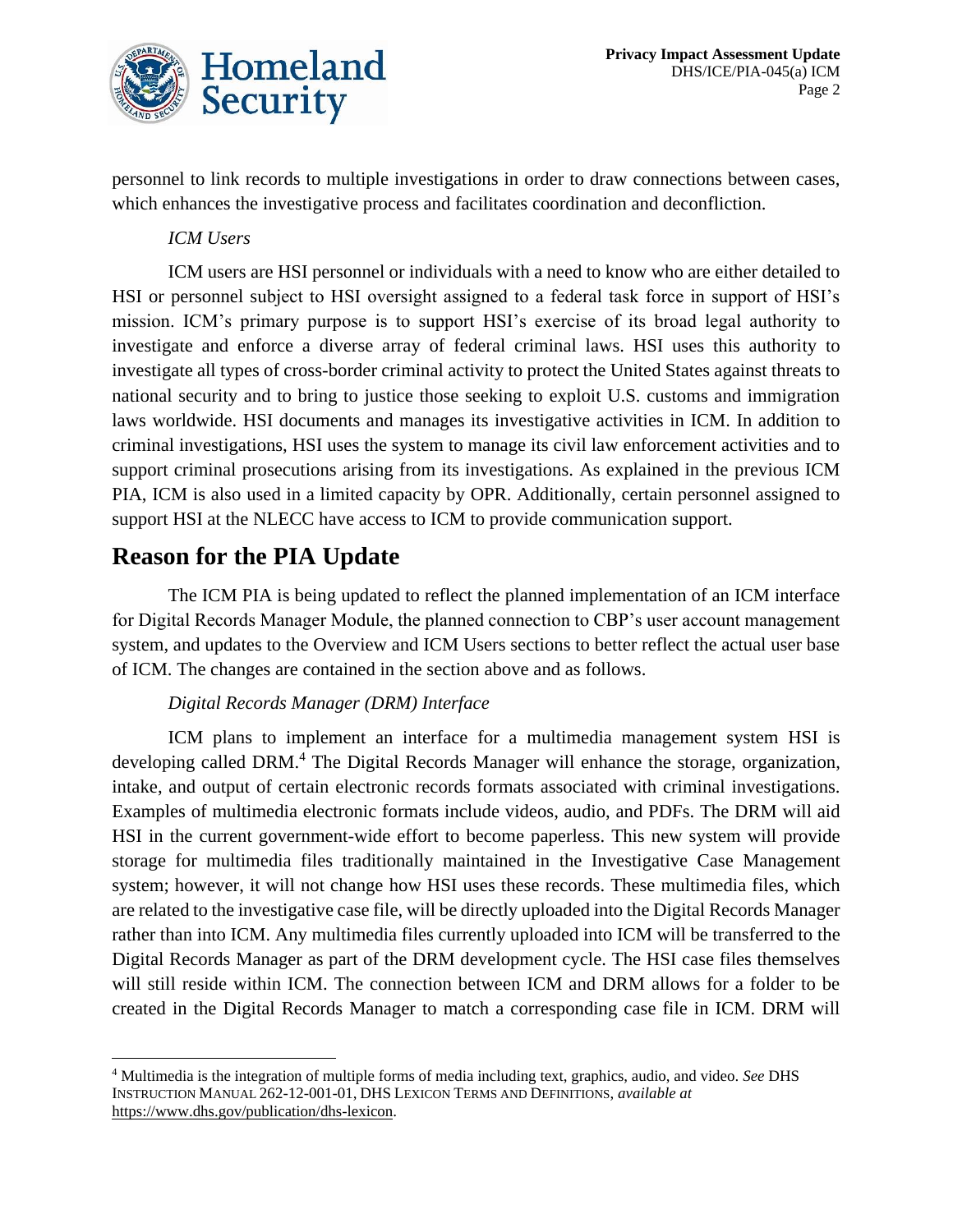

personnel to link records to multiple investigations in order to draw connections between cases, which enhances the investigative process and facilitates coordination and deconfliction.

#### *ICM Users*

ICM users are HSI personnel or individuals with a need to know who are either detailed to HSI or personnel subject to HSI oversight assigned to a federal task force in support of HSI's mission. ICM's primary purpose is to support HSI's exercise of its broad legal authority to investigate and enforce a diverse array of federal criminal laws. HSI uses this authority to investigate all types of cross-border criminal activity to protect the United States against threats to national security and to bring to justice those seeking to exploit U.S. customs and immigration laws worldwide. HSI documents and manages its investigative activities in ICM. In addition to criminal investigations, HSI uses the system to manage its civil law enforcement activities and to support criminal prosecutions arising from its investigations. As explained in the previous ICM PIA, ICM is also used in a limited capacity by OPR. Additionally, certain personnel assigned to support HSI at the NLECC have access to ICM to provide communication support.

## **Reason for the PIA Update**

The ICM PIA is being updated to reflect the planned implementation of an ICM interface for Digital Records Manager Module, the planned connection to CBP's user account management system, and updates to the Overview and ICM Users sections to better reflect the actual user base of ICM. The changes are contained in the section above and as follows.

#### *Digital Records Manager (DRM) Interface*

ICM plans to implement an interface for a multimedia management system HSI is developing called DRM.<sup>4</sup> The Digital Records Manager will enhance the storage, organization, intake, and output of certain electronic records formats associated with criminal investigations. Examples of multimedia electronic formats include videos, audio, and PDFs. The DRM will aid HSI in the current government-wide effort to become paperless. This new system will provide storage for multimedia files traditionally maintained in the Investigative Case Management system; however, it will not change how HSI uses these records. These multimedia files, which are related to the investigative case file, will be directly uploaded into the Digital Records Manager rather than into ICM. Any multimedia files currently uploaded into ICM will be transferred to the Digital Records Manager as part of the DRM development cycle. The HSI case files themselves will still reside within ICM. The connection between ICM and DRM allows for a folder to be created in the Digital Records Manager to match a corresponding case file in ICM. DRM will

<sup>4</sup> Multimedia is the integration of multiple forms of media including text, graphics, audio, and video. *See* DHS INSTRUCTION MANUAL 262-12-001-01, DHS LEXICON TERMS AND DEFINITIONS, *available at* [https://www.dhs.gov/publication/dhs-lexicon.](https://www.dhs.gov/publication/dhs-lexicon)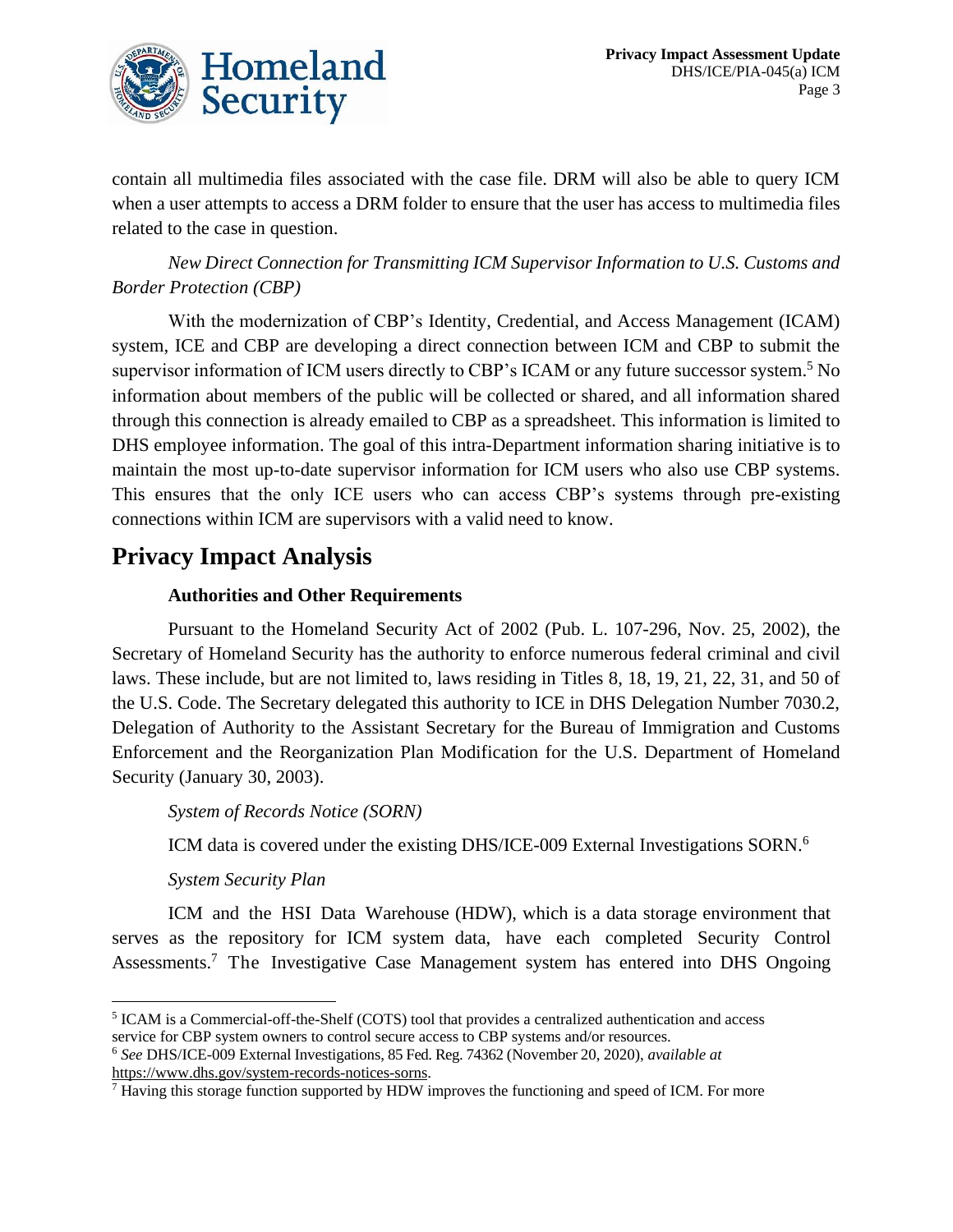

contain all multimedia files associated with the case file. DRM will also be able to query ICM when a user attempts to access a DRM folder to ensure that the user has access to multimedia files related to the case in question.

*New Direct Connection for Transmitting ICM Supervisor Information to U.S. Customs and Border Protection (CBP)*

With the modernization of CBP's Identity, Credential, and Access Management (ICAM) system, ICE and CBP are developing a direct connection between ICM and CBP to submit the supervisor information of ICM users directly to CBP's ICAM or any future successor system.<sup>5</sup> No information about members of the public will be collected or shared, and all information shared through this connection is already emailed to CBP as a spreadsheet. This information is limited to DHS employee information. The goal of this intra-Department information sharing initiative is to maintain the most up-to-date supervisor information for ICM users who also use CBP systems. This ensures that the only ICE users who can access CBP's systems through pre-existing connections within ICM are supervisors with a valid need to know.

## **Privacy Impact Analysis**

#### **Authorities and Other Requirements**

Pursuant to the Homeland Security Act of 2002 (Pub. L. 107-296, Nov. 25, 2002), the Secretary of Homeland Security has the authority to enforce numerous federal criminal and civil laws. These include, but are not limited to, laws residing in Titles 8, 18, 19, 21, 22, 31, and 50 of the U.S. Code. The Secretary delegated this authority to ICE in DHS Delegation Number 7030.2, Delegation of Authority to the Assistant Secretary for the Bureau of Immigration and Customs Enforcement and the Reorganization Plan Modification for the U.S. Department of Homeland Security (January 30, 2003).

*System of Records Notice (SORN)*

ICM data is covered under the existing DHS/ICE-009 External Investigations SORN.<sup>6</sup>

#### *System Security Plan*

ICM and the HSI Data Warehouse (HDW), which is a data storage environment that serves as the repository for ICM system data, have each completed Security Control Assessments.<sup>7</sup> The Investigative Case Management system has entered into DHS Ongoing

<sup>&</sup>lt;sup>5</sup> ICAM is a Commercial-off-the-Shelf (COTS) tool that provides a centralized authentication and access service for CBP system owners to control secure access to CBP systems and/or resources.

<sup>6</sup> *See* DHS/ICE-009 External Investigations, 85 Fed. Reg. 74362 (November 20, 2020), *available at* https://www.dhs.gov/system-records-notices-sorns.

<sup>7</sup> Having this storage function supported by HDW improves the functioning and speed of ICM. For more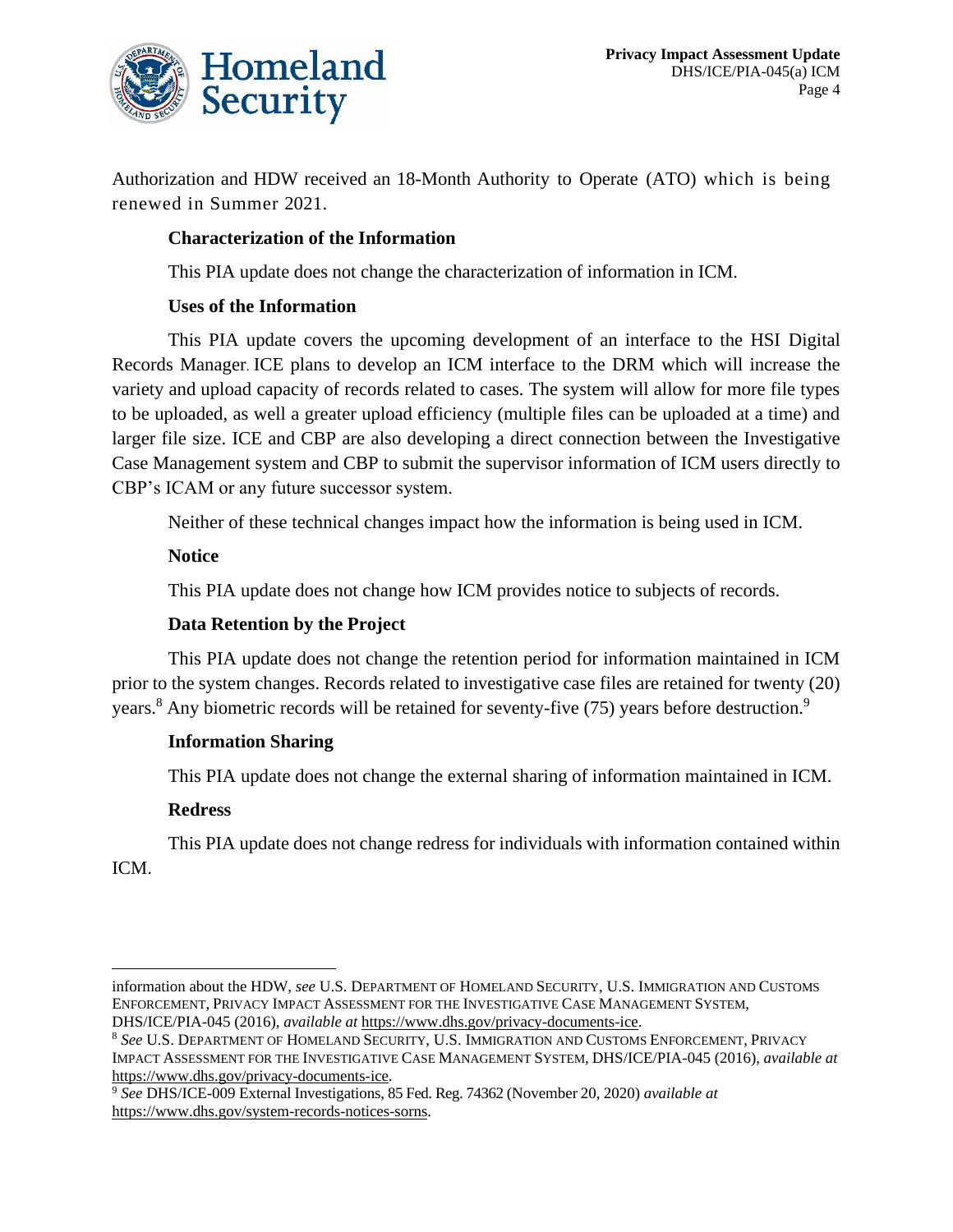

Authorization and HDW received an 18-Month Authority to Operate (ATO) which is being renewed in Summer 2021.

#### **Characterization of the Information**

This PIA update does not change the characterization of information in ICM.

#### **Uses of the Information**

This PIA update covers the upcoming development of an interface to the HSI Digital Records Manager. ICE plans to develop an ICM interface to the DRM which will increase the variety and upload capacity of records related to cases. The system will allow for more file types to be uploaded, as well a greater upload efficiency (multiple files can be uploaded at a time) and larger file size. ICE and CBP are also developing a direct connection between the Investigative Case Management system and CBP to submit the supervisor information of ICM users directly to CBP's ICAM or any future successor system.

Neither of these technical changes impact how the information is being used in ICM.

#### **Notice**

This PIA update does not change how ICM provides notice to subjects of records.

#### **Data Retention by the Project**

This PIA update does not change the retention period for information maintained in ICM prior to the system changes. Records related to investigative case files are retained for twenty (20) years.<sup>8</sup> Any biometric records will be retained for seventy-five (75) years before destruction.<sup>9</sup>

#### **Information Sharing**

This PIA update does not change the external sharing of information maintained in ICM.

#### **Redress**

This PIA update does not change redress for individuals with information contained within

ICM.

information about the HDW, *see* U.S. DEPARTMENT OF HOMELAND SECURITY, U.S. IMMIGRATION AND CUSTOMS ENFORCEMENT, PRIVACY IMPACT ASSESSMENT FOR THE INVESTIGATIVE CASE MANAGEMENT SYSTEM, DHS/ICE/PIA-045 (2016), *available at* [https://www.dhs.gov/privacy-documents-ice.](https://www.dhs.gov/privacy-documents-ice)

<sup>8</sup> *See* U.S. DEPARTMENT OF HOMELAND SECURITY, U.S. IMMIGRATION AND CUSTOMS ENFORCEMENT, PRIVACY IMPACT ASSESSMENT FOR THE INVESTIGATIVE CASE MANAGEMENT SYSTEM, DHS/ICE/PIA-045 (2016), *available at* [https://www.dhs.gov/privacy-documents-ice.](https://www.dhs.gov/privacy-documents-ice)

<sup>9</sup> *See* DHS/ICE-009 External Investigations, 85 Fed. Reg. 74362 (November 20, 2020) *available at* [https://www.dhs.gov/system-records-notices-sorns.](https://www.dhs.gov/system-records-notices-sorns)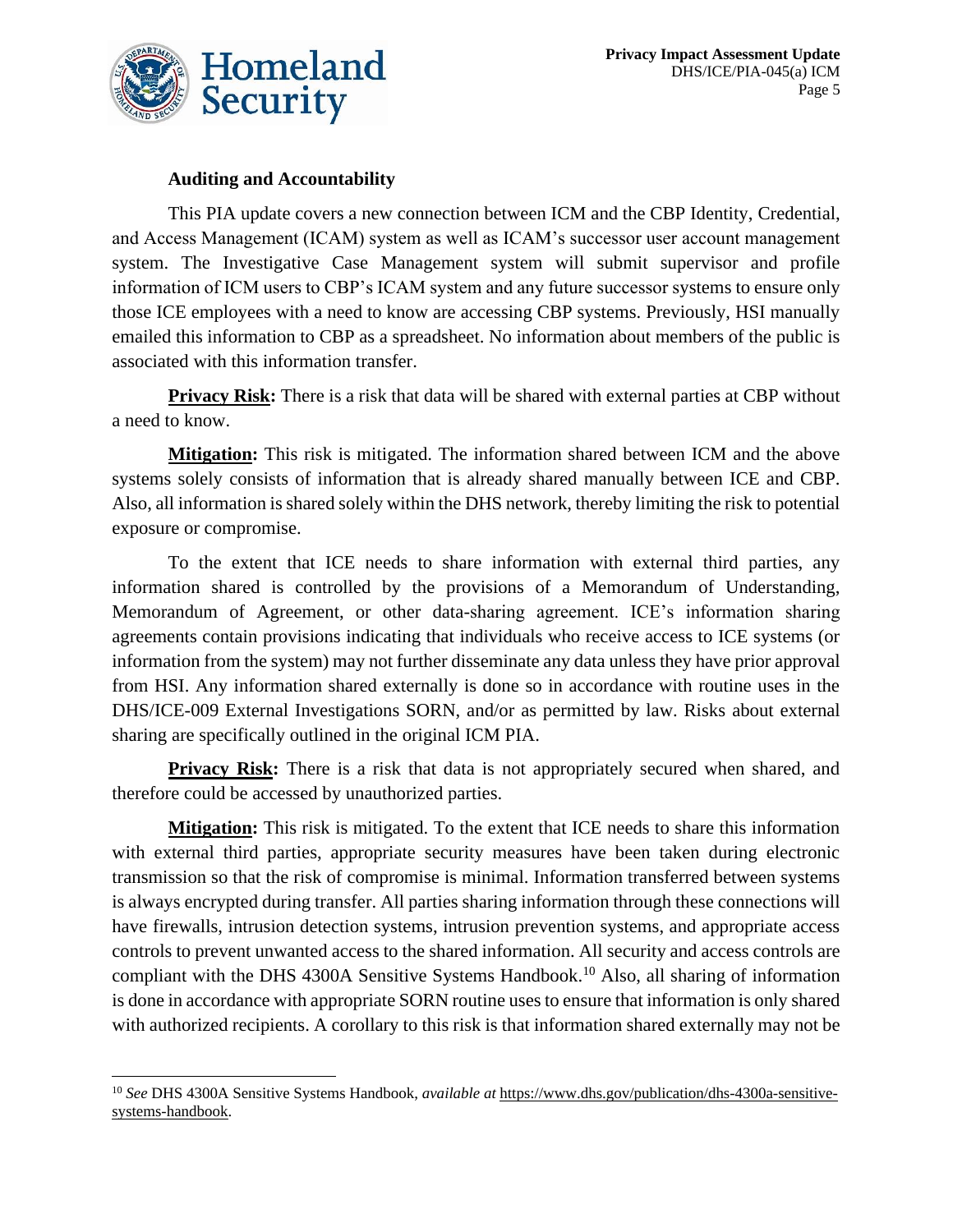

#### **Auditing and Accountability**

This PIA update covers a new connection between ICM and the CBP Identity, Credential, and Access Management (ICAM) system as well as ICAM's successor user account management system. The Investigative Case Management system will submit supervisor and profile information of ICM users to CBP's ICAM system and any future successor systems to ensure only those ICE employees with a need to know are accessing CBP systems. Previously, HSI manually emailed this information to CBP as a spreadsheet. No information about members of the public is associated with this information transfer.

**Privacy Risk:** There is a risk that data will be shared with external parties at CBP without a need to know.

**Mitigation:** This risk is mitigated. The information shared between ICM and the above systems solely consists of information that is already shared manually between ICE and CBP. Also, all information is shared solely within the DHS network, thereby limiting the risk to potential exposure or compromise.

To the extent that ICE needs to share information with external third parties, any information shared is controlled by the provisions of a Memorandum of Understanding, Memorandum of Agreement, or other data-sharing agreement. ICE's information sharing agreements contain provisions indicating that individuals who receive access to ICE systems (or information from the system) may not further disseminate any data unless they have prior approval from HSI. Any information shared externally is done so in accordance with routine uses in the DHS/ICE-009 External Investigations SORN, and/or as permitted by law. Risks about external sharing are specifically outlined in the original ICM PIA.

**Privacy Risk:** There is a risk that data is not appropriately secured when shared, and therefore could be accessed by unauthorized parties.

**Mitigation:** This risk is mitigated. To the extent that ICE needs to share this information with external third parties, appropriate security measures have been taken during electronic transmission so that the risk of compromise is minimal. Information transferred between systems is always encrypted during transfer. All parties sharing information through these connections will have firewalls, intrusion detection systems, intrusion prevention systems, and appropriate access controls to prevent unwanted access to the shared information. All security and access controls are compliant with the DHS 4300A Sensitive Systems Handbook.<sup>10</sup> Also, all sharing of information is done in accordance with appropriate SORN routine uses to ensure that information is only shared with authorized recipients. A corollary to this risk is that information shared externally may not be

<sup>10</sup> *See* DHS 4300A Sensitive Systems Handbook, *available at* [https://www.dhs.gov/publication/dhs-4300a-sensitive](https://www.dhs.gov/publication/dhs-4300a-sensitive-systems-handbook)[systems-handbook.](https://www.dhs.gov/publication/dhs-4300a-sensitive-systems-handbook)